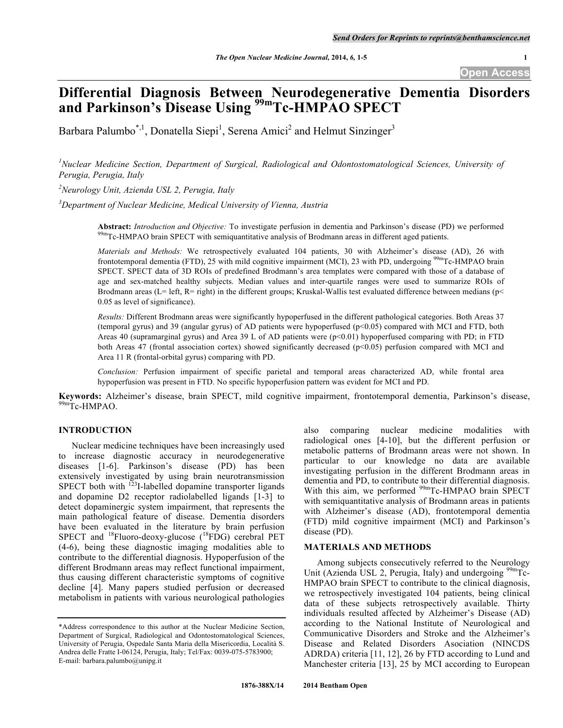# **Differential Diagnosis Between Neurodegenerative Dementia Disorders and Parkinson's Disease Using 99mTc-HMPAO SPECT**

Barbara Palumbo<sup>\*, 1</sup>, Donatella Siepi<sup>1</sup>, Serena Amici<sup>2</sup> and Helmut Sinzinger<sup>3</sup>

<sup>1</sup> Nuclear Medicine Section, Department of Surgical, Radiological and Odontostomatological Sciences, University of *Perugia, Perugia, Italy*

*2 Neurology Unit, Azienda USL 2, Perugia, Italy*

*3 Department of Nuclear Medicine, Medical University of Vienna, Austria*

Abstract: Introduction and Objective: To investigate perfusion in dementia and Parkinson's disease (PD) we performed <sup>99m</sup>Tc-HMPAO brain SPECT with semiquantitative analysis of Brodmann areas in different aged patients.

*Materials and Methods:* We retrospectively evaluated 104 patients, 30 with Alzheimer's disease (AD), 26 with frontotemporal dementia (FTD), 25 with mild cognitive impairment (MCI), 23 with PD, undergoing <sup>99m</sup>Tc-HMPAO brain SPECT. SPECT data of 3D ROIs of predefined Brodmann's area templates were compared with those of a database of age and sex-matched healthy subjects. Median values and inter-quartile ranges were used to summarize ROIs of Brodmann areas (L= left, R= right) in the different groups; Kruskal-Wallis test evaluated difference between medians ( $p$  < 0.05 as level of significance).

*Results:* Different Brodmann areas were significantly hypoperfused in the different pathological categories. Both Areas 37 (temporal gyrus) and 39 (angular gyrus) of AD patients were hypoperfused (p<0.05) compared with MCI and FTD, both Areas 40 (supramarginal gyrus) and Area 39 L of AD patients were (p<0.01) hypoperfused comparing with PD; in FTD both Areas 47 (frontal association cortex) showed significantly decreased (p<0.05) perfusion compared with MCI and Area 11 R (frontal-orbital gyrus) comparing with PD.

*Conclusion:* Perfusion impairment of specific parietal and temporal areas characterized AD, while frontal area hypoperfusion was present in FTD. No specific hypoperfusion pattern was evident for MCI and PD.

**Keywords:** Alzheimer's disease, brain SPECT, mild cognitive impairment, frontotemporal dementia, Parkinson's disease, <sup>99m</sup>Tc-HMPAO.

## **INTRODUCTION**

Nuclear medicine techniques have been increasingly used to increase diagnostic accuracy in neurodegenerative diseases [1-6]. Parkinson's disease (PD) has been extensively investigated by using brain neurotransmission SPECT both with <sup>123</sup>I-labelled dopamine transporter ligands and dopamine D2 receptor radiolabelled ligands [1-3] to detect dopaminergic system impairment, that represents the main pathological feature of disease. Dementia disorders have been evaluated in the literature by brain perfusion SPECT and <sup>18</sup>Fluoro-deoxy-glucose (<sup>18</sup>FDG) cerebral PET (4-6), being these diagnostic imaging modalities able to contribute to the differential diagnosis. Hypoperfusion of the different Brodmann areas may reflect functional impairment, thus causing different characteristic symptoms of cognitive decline [4]. Many papers studied perfusion or decreased metabolism in patients with various neurological pathologies

also comparing nuclear medicine modalities with radiological ones [4-10], but the different perfusion or metabolic patterns of Brodmann areas were not shown. In particular to our knowledge no data are available investigating perfusion in the different Brodmann areas in dementia and PD, to contribute to their differential diagnosis. With this aim, we performed <sup>99m</sup>Tc-HMPAO brain SPECT with semiquantitative analysis of Brodmann areas in patients with Alzheimer's disease (AD), frontotemporal dementia (FTD) mild cognitive impairment (MCI) and Parkinson's disease (PD).

# **MATERIALS AND METHODS**

Among subjects consecutively referred to the Neurology Unit (Azienda USL 2, Perugia, Italy) and undergoing <sup>99m</sup>Tc-HMPAO brain SPECT to contribute to the clinical diagnosis, we retrospectively investigated 104 patients, being clinical data of these subjects retrospectively available. Thirty individuals resulted affected by Alzheimer's Disease (AD) according to the National Institute of Neurological and Communicative Disorders and Stroke and the Alzheimer's Disease and Related Disorders Asociation (NINCDS ADRDA) criteria [11, 12], 26 by FTD according to Lund and Manchester criteria [13], 25 by MCI according to European

<sup>\*</sup>Address correspondence to this author at the Nuclear Medicine Section, Department of Surgical, Radiological and Odontostomatological Sciences, University of Perugia, Ospedale Santa Maria della Misericordia, Località S. Andrea delle Fratte I-06124, Perugia, Italy; Tel/Fax: 0039-075-5783900; E-mail: barbara.palumbo@unipg.it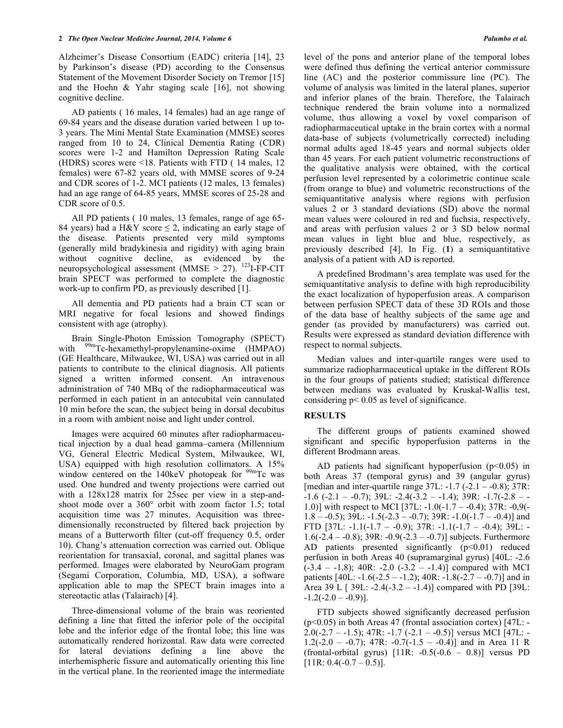Alzheimer's Disease Consortium (EADC) criteria [14], 23 by Parkinson's disease (PD) according to the Consensus Statement of the Movement Disorder Society on Tremor [15] and the Hoehn & Yahr staging scale [16], not showing cognitive decline.

AD patients ( 16 males, 14 females) had an age range of 69-84 years and the disease duration varied between 1 up to-3 years. The Mini Mental State Examination (MMSE) scores ranged from 10 to 24, Clinical Dementia Rating (CDR) scores were 1-2 and Hamilton Depression Rating Scale (HDRS) scores were <18. Patients with FTD ( 14 males, 12 females) were 67-82 years old, with MMSE scores of 9-24 and CDR scores of 1-2. MCI patients (12 males, 13 females) had an age range of 64-85 years, MMSE scores of 25-28 and CDR score of 0.5.

All PD patients ( 10 males, 13 females, range of age 65- 84 years) had a H&Y score  $\leq$  2, indicating an early stage of the disease. Patients presented very mild symptoms (generally mild bradykinesia and rigidity) with aging brain without cognitive decline, as evidenced by the neuropsychological assessment (MMSE  $> 27$ ). <sup>123</sup>I-FP-CIT brain SPECT was performed to complete the diagnostic work-up to confirm PD, as previously described [1].

All dementia and PD patients had a brain CT scan or MRI negative for focal lesions and showed findings consistent with age (atrophy).

Brain Single-Photon Emission Tomography (SPECT) with <sup>99m</sup>Tc-hexamethyl-propylenamine-oxime (HMPAO) (GE Healthcare, Milwaukee, WI, USA) was carried out in all patients to contribute to the clinical diagnosis. All patients signed a written informed consent. An intravenous administration of 740 MBq of the radiopharmaceutical was performed in each patient in an antecubital vein cannulated 10 min before the scan, the subject being in dorsal decubitus in a room with ambient noise and light under control.

Images were acquired 60 minutes after radiopharmaceutical injection by a dual head gamma–camera (Millennium VG, General Electric Medical System, Milwaukee, WI, USA) equipped with high resolution collimators. A 15% window centered on the  $140 \text{keV}$  photopeak for  $99 \text{mTc}$  was used. One hundred and twenty projections were carried out with a 128x128 matrix for 25sec per view in a step-andshoot mode over a 360° orbit with zoom factor 1.5; total acquisition time was 27 minutes. Acquisition was threedimensionally reconstructed by filtered back projection by means of a Butterworth filter (cut-off frequency 0.5, order 10). Chang's attenuation correction was carried out. Oblique reorientation for transaxial, coronal, and sagittal planes was performed. Images were elaborated by NeuroGam program (Segami Corporation, Columbia, MD, USA), a software application able to map the SPECT brain images into a stereotactic atlas (Talairach) [4].

Three-dimensional volume of the brain was reoriented defining a line that fitted the inferior pole of the occipital lobe and the inferior edge of the frontal lobe; this line was automatically rendered horizontal. Raw data were corrected for lateral deviations defining a line above the interhemispheric fissure and automatically orienting this line in the vertical plane. In the reoriented image the intermediate level of the pons and anterior plane of the temporal lobes were defined thus defining the vertical anterior commissure line (AC) and the posterior commissure line (PC). The volume of analysis was limited in the lateral planes, superior and inferior planes of the brain. Therefore, the Talairach technique rendered the brain volume into a normalized volume, thus allowing a voxel by voxel comparison of radiopharmaceutical uptake in the brain cortex with a normal data-base of subjects (volumetrically corrected) including normal adults aged 18-45 years and normal subjects older than 45 years. For each patient volumetric reconstructions of the qualitative analysis were obtained, with the cortical perfusion level represented by a colorimetric continue scale (from orange to blue) and volumetric reconstructions of the semiquantitative analysis where regions with perfusion values 2 or 3 standard deviations (SD) above the normal mean values were coloured in red and fuchsia, respectively, and areas with perfusion values 2 or 3 SD below normal mean values in light blue and blue, respectively, as previously described [4]. In Fig. (**1**) a semiquantitative analysis of a patient with AD is reported.

A predefined Brodmann's area template was used for the semiquantitative analysis to define with high reproducibility the exact localization of hypoperfusion areas. A comparison between perfusion SPECT data of these 3D ROIs and those of the data base of healthy subjects of the same age and gender (as provided by manufacturers) was carried out. Results were expressed as standard deviation difference with respect to normal subjects.

Median values and inter-quartile ranges were used to summarize radiopharmaceutical uptake in the different ROIs in the four groups of patients studied; statistical difference between medians was evaluated by Kruskal-Wallis test, considering p< 0.05 as level of significance.

#### **RESULTS**

The different groups of patients examined showed significant and specific hypoperfusion patterns in the different Brodmann areas.

AD patients had significant hypoperfusion  $(p<0.05)$  in both Areas 37 (temporal gyrus) and 39 (angular gyrus) [median and inter-quartile range  $37L$ :  $-1.7$  ( $-2.1 - -0.8$ );  $37R$ :  $-1.6$  ( $-2.1$  –  $-0.7$ );  $39L$ :  $-2.4$ ( $-3.2$  –  $-1.4$ );  $39R$ :  $-1.7$ ( $-2.8$  – 1.0)] with respect to MCI [37L: -1.0(-1.7 – -0.4); 37R: -0,9(-  $1.8 - -0.5$ ; 39L:  $-1.5(-2.3 - -0.7)$ ; 39R:  $-1.0(-1.7 - -0.4)$ ] and FTD [37L: -1.1(-1.7 – -0.9); 37R: -1.1(-1.7 – -0.4); 39L: - 1.6(-2.4 – -0.8); 39R: -0.9(-2.3 – -0.7)] subjects. Furthermore AD patients presented significantly  $(p<0.01)$  reduced perfusion in both Areas 40 (supramarginal gyrus) [40L: -2.6  $(-3.4 - 1.8)$ ; 40R:  $-2.0$   $(-3.2 - 1.4)$ ] compared with MCI patients  $[40L: -1.6(-2.5 - -1.2); 40R: -1.8(-2.7 - -0.7)]$  and in Area 39 L [ 39L: -2.4(-3.2 – -1.4)] compared with PD [39L:  $-1.2(-2.0 - 0.9)$ ].

FTD subjects showed significantly decreased perfusion (p<0.05) in both Areas 47 (frontal association cortex) [47L: - 2.0(-2.7 – -1.5); 47R: -1.7 (-2.1 – -0.5)] versus MCI [47L: -1.2(-2.0 – -0.7); 47R:  $-0.7(-1.5 - 0.4)$ ] and in Area 11 R (frontal-orbital gyrus) [11R: -0.5(-0.6 – 0.8)] versus PD  $[11R: 0.4(-0.7 - 0.5)].$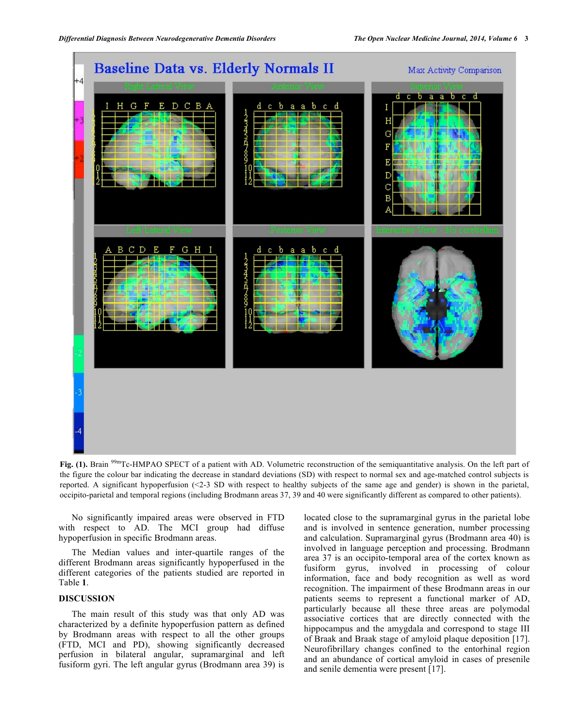

Fig. (1). Brain <sup>99m</sup>Tc-HMPAO SPECT of a patient with AD. Volumetric reconstruction of the semiquantitative analysis. On the left part of the figure the colour bar indicating the decrease in standard deviations (SD) with respect to normal sex and age-matched control subjects is reported. A significant hypoperfusion (<2-3 SD with respect to healthy subjects of the same age and gender) is shown in the parietal, occipito-parietal and temporal regions (including Brodmann areas 37, 39 and 40 were significantly different as compared to other patients).

No significantly impaired areas were observed in FTD with respect to AD. The MCI group had diffuse hypoperfusion in specific Brodmann areas.

The Median values and inter-quartile ranges of the different Brodmann areas significantly hypoperfused in the different categories of the patients studied are reported in Table **1**.

# **DISCUSSION**

The main result of this study was that only AD was characterized by a definite hypoperfusion pattern as defined by Brodmann areas with respect to all the other groups (FTD, MCI and PD), showing significantly decreased perfusion in bilateral angular, supramarginal and left fusiform gyri. The left angular gyrus (Brodmann area 39) is

located close to the supramarginal gyrus in the parietal lobe and is involved in sentence generation, number processing and calculation. Supramarginal gyrus (Brodmann area 40) is involved in language perception and processing. Brodmann area 37 is an occipito-temporal area of the cortex known as fusiform gyrus, involved in processing of colour information, face and body recognition as well as word recognition. The impairment of these Brodmann areas in our patients seems to represent a functional marker of AD, particularly because all these three areas are polymodal associative cortices that are directly connected with the hippocampus and the amygdala and correspond to stage III of Braak and Braak stage of amyloid plaque deposition [17]. Neurofibrillary changes confined to the entorhinal region and an abundance of cortical amyloid in cases of presenile and senile dementia were present [17].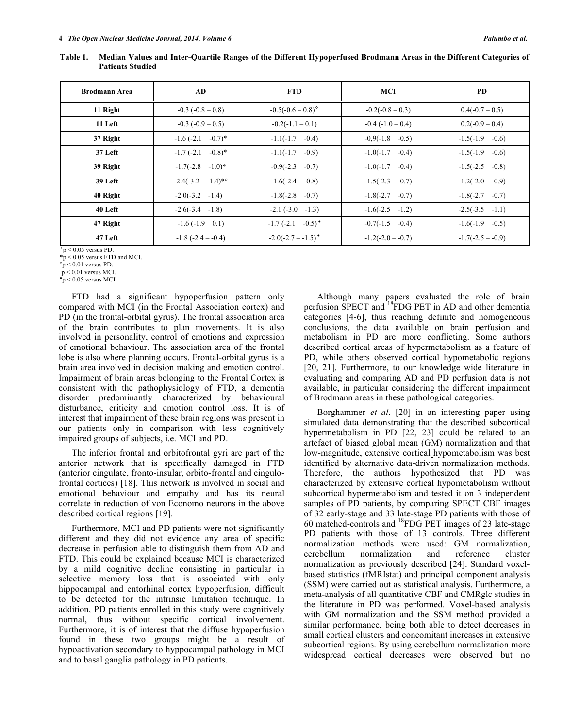| <b>Brodmann Area</b> | AD.                     | <b>FTD</b>                       | MCI                     | <b>PD</b>           |
|----------------------|-------------------------|----------------------------------|-------------------------|---------------------|
| 11 Right             | $-0.3$ ( $-0.8 - 0.8$ ) | $-0.5(-0.6-0.8)^{4}$             | $-0.2(-0.8 - 0.3)$      | $0.4(-0.7-0.5)$     |
| 11 Left              | $-0.3(-0.9 - 0.5)$      | $-0.2(-1.1-0.1)$                 | $-0.4$ ( $-1.0 - 0.4$ ) | $0.2(-0.9 - 0.4)$   |
| 37 Right             | $-1.6(-2.1 - -0.7)^*$   | $-1.1(-1.7 - -0.4)$              | $-0.9(-1.8 - -0.5)$     | $-1.5(-1.9 - -0.6)$ |
| 37 Left              | $-1.7(-2.1 - 0.8)$ *    | $-1.1(-1.7 - -0.9)$              | $-1.0(-1.7 - -0.4)$     | $-1.5(-1.9 - -0.6)$ |
| 39 Right             | $-1.7(-2.8 - 1.0)^*$    | $-0.9(-2.3 - 0.7)$               | $-1.0(-1.7 - -0.4)$     | $-1.5(-2.5 - -0.8)$ |
| 39 Left              | $-2.4(-3.2 - 1.4)^*$    | $-1.6(-2.4 - 0.8)$               | $-1.5(-2.3 - 0.7)$      | $-1.2(-2.0 - 0.9)$  |
| 40 Right             | $-2.0(-3.2 - -1.4)$     | $-1.8(-2.8 - 0.7)$               | $-1.8(-2.7 - -0.7)$     | $-1.8(-2.7 - -0.7)$ |
| 40 Left              | $-2.6(-3.4 - 1.8)$      | $-2.1$ $(-3.0 - 1.3)$            | $-1.6(-2.5 - -1.2)$     | $-2.5(-3.5 - -1.1)$ |
| 47 Right             | $-1.6(-1.9-0.1)$        | $-1.7(-2.1 - -0.5)$ <sup>*</sup> | $-0.7(-1.5 - -0.4)$     | $-1.6(-1.9 - -0.5)$ |
| 47 Left              | $-1.8(-2.4 - -0.4)$     | $-2.0(-2.7 - -1.5)$ <sup>*</sup> | $-1.2(-2.0 - -0.7)$     | $-1.7(-2.5 - -0.9)$ |

**Table 1. Median Values and Inter-Quartile Ranges of the Different Hypoperfused Brodmann Areas in the Different Categories of Patients Studied**

 $\textdegree p$  < 0.05 versus PD.  $*_{p}$  < 0.05 versus FTD and MCI.

 $\degree$ p < 0.01 versus PD.

p < 0.01 versus MCI.

 $\textdegree p$  < 0.05 versus MCI.

FTD had a significant hypoperfusion pattern only compared with MCI (in the Frontal Association cortex) and PD (in the frontal-orbital gyrus). The frontal association area of the brain contributes to plan movements. It is also involved in personality, control of emotions and expression of emotional behaviour. The association area of the frontal lobe is also where planning occurs. Frontal-orbital gyrus is a brain area involved in decision making and emotion control. Impairment of brain areas belonging to the Frontal Cortex is consistent with the pathophysiology of FTD, a dementia disorder predominantly characterized by behavioural disturbance, criticity and emotion control loss. It is of interest that impairment of these brain regions was present in our patients only in comparison with less cognitively impaired groups of subjects, i.e. MCI and PD.

The inferior frontal and orbitofrontal gyri are part of the anterior network that is specifically damaged in FTD (anterior cingulate, fronto-insular, orbito-frontal and cingulofrontal cortices) [18]. This network is involved in social and emotional behaviour and empathy and has its neural correlate in reduction of von Economo neurons in the above described cortical regions [19].

Furthermore, MCI and PD patients were not significantly different and they did not evidence any area of specific decrease in perfusion able to distinguish them from AD and FTD. This could be explained because MCI is characterized by a mild cognitive decline consisting in particular in selective memory loss that is associated with only hippocampal and entorhinal cortex hypoperfusion, difficult to be detected for the intrinsic limitation technique. In addition, PD patients enrolled in this study were cognitively normal, thus without specific cortical involvement. Furthermore, it is of interest that the diffuse hypoperfusion found in these two groups might be a result of hypoactivation secondary to hyppocampal pathology in MCI and to basal ganglia pathology in PD patients.

Although many papers evaluated the role of brain perfusion SPECT and <sup>18</sup>FDG PET in AD and other dementia categories [4-6], thus reaching definite and homogeneous conclusions, the data available on brain perfusion and metabolism in PD are more conflicting. Some authors described cortical areas of hypermetabolism as a feature of PD, while others observed cortical hypometabolic regions [20, 21]. Furthermore, to our knowledge wide literature in evaluating and comparing AD and PD perfusion data is not available, in particular considering the different impairment of Brodmann areas in these pathological categories.

Borghammer *et al*. [20] in an interesting paper using simulated data demonstrating that the described subcortical hypermetabolism in PD [22, 23] could be related to an artefact of biased global mean (GM) normalization and that low-magnitude, extensive cortical hypometabolism was best identified by alternative data-driven normalization methods. Therefore, the authors hypothesized that PD was characterized by extensive cortical hypometabolism without subcortical hypermetabolism and tested it on 3 independent samples of PD patients, by comparing SPECT CBF images of 32 early-stage and 33 late-stage PD patients with those of 60 matched-controls and 18FDG PET images of 23 late-stage PD patients with those of 13 controls. Three different normalization methods were used: GM normalization, cerebellum normalization and reference cluster normalization as previously described [24]. Standard voxelbased statistics (fMRIstat) and principal component analysis (SSM) were carried out as statistical analysis. Furthermore, a meta-analysis of all quantitative CBF and CMRglc studies in the literature in PD was performed. Voxel-based analysis with GM normalization and the SSM method provided a similar performance, being both able to detect decreases in small cortical clusters and concomitant increases in extensive subcortical regions. By using cerebellum normalization more widespread cortical decreases were observed but no